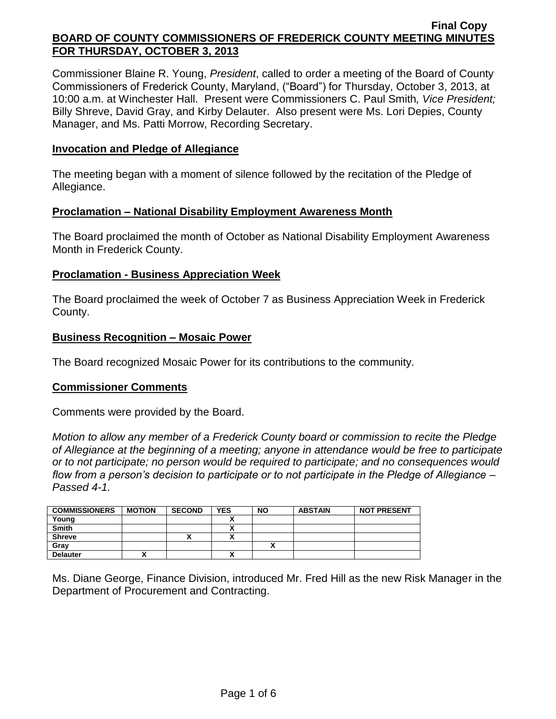Commissioner Blaine R. Young, *President*, called to order a meeting of the Board of County Commissioners of Frederick County, Maryland, ("Board") for Thursday, October 3, 2013, at 10:00 a.m. at Winchester Hall. Present were Commissioners C. Paul Smith*, Vice President;* Billy Shreve, David Gray, and Kirby Delauter. Also present were Ms. Lori Depies, County Manager, and Ms. Patti Morrow, Recording Secretary.

### **Invocation and Pledge of Allegiance**

The meeting began with a moment of silence followed by the recitation of the Pledge of Allegiance.

### **Proclamation – National Disability Employment Awareness Month**

The Board proclaimed the month of October as National Disability Employment Awareness Month in Frederick County.

### **Proclamation - Business Appreciation Week**

The Board proclaimed the week of October 7 as Business Appreciation Week in Frederick County.

### **Business Recognition – Mosaic Power**

The Board recognized Mosaic Power for its contributions to the community.

### **Commissioner Comments**

Comments were provided by the Board.

*Motion to allow any member of a Frederick County board or commission to recite the Pledge of Allegiance at the beginning of a meeting; anyone in attendance would be free to participate or to not participate; no person would be required to participate; and no consequences would flow from a person's decision to participate or to not participate in the Pledge of Allegiance – Passed 4-1.*

| <b>COMMISSIONERS</b> | <b>MOTION</b> | <b>SECOND</b> | <b>YES</b> | <b>NO</b> | <b>ABSTAIN</b> | <b>NOT PRESENT</b> |
|----------------------|---------------|---------------|------------|-----------|----------------|--------------------|
| Young                |               |               |            |           |                |                    |
| <b>Smith</b>         |               |               | ~          |           |                |                    |
| <b>Shreve</b>        |               |               | ,,,        |           |                |                    |
| Gray                 |               |               |            |           |                |                    |
| <b>Delauter</b>      |               |               | A          |           |                |                    |

Ms. Diane George, Finance Division, introduced Mr. Fred Hill as the new Risk Manager in the Department of Procurement and Contracting.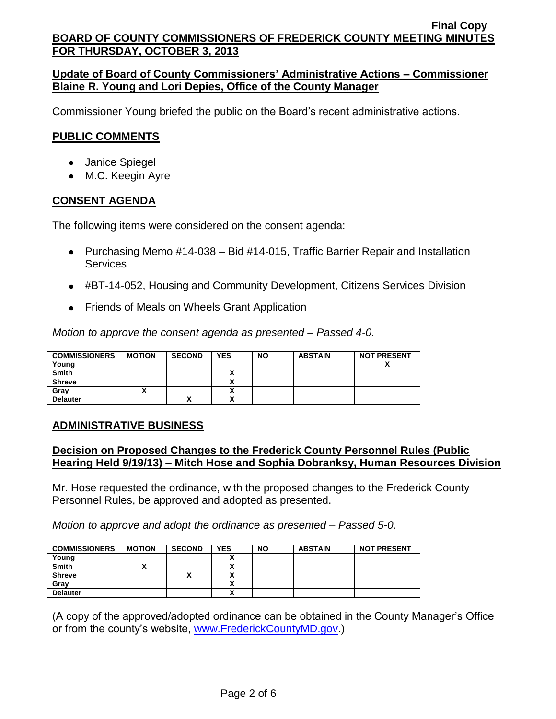### **Update of Board of County Commissioners' Administrative Actions – Commissioner Blaine R. Young and Lori Depies, Office of the County Manager**

Commissioner Young briefed the public on the Board's recent administrative actions.

#### **PUBLIC COMMENTS**

- Janice Spiegel
- M.C. Keegin Ayre

#### **CONSENT AGENDA**

The following items were considered on the consent agenda:

- Purchasing Memo #14-038 Bid #14-015, Traffic Barrier Repair and Installation Services
- #BT-14-052, Housing and Community Development, Citizens Services Division
- Friends of Meals on Wheels Grant Application

*Motion to approve the consent agenda as presented – Passed 4-0.*

| <b>COMMISSIONERS</b> | <b>MOTION</b> | <b>SECOND</b> | <b>YES</b>               | <b>NO</b> | <b>ABSTAIN</b> | <b>NOT PRESENT</b> |
|----------------------|---------------|---------------|--------------------------|-----------|----------------|--------------------|
| Young                |               |               |                          |           |                |                    |
| <b>Smith</b>         |               |               |                          |           |                |                    |
| <b>Shreve</b>        |               |               |                          |           |                |                    |
| Grav                 |               |               | ,,                       |           |                |                    |
| <b>Delauter</b>      |               | "             | $\ddot{\phantom{1}}$<br> |           |                |                    |

### **ADMINISTRATIVE BUSINESS**

#### **Decision on Proposed Changes to the Frederick County Personnel Rules (Public Hearing Held 9/19/13) – Mitch Hose and Sophia Dobranksy, Human Resources Division**

Mr. Hose requested the ordinance, with the proposed changes to the Frederick County Personnel Rules, be approved and adopted as presented.

*Motion to approve and adopt the ordinance as presented – Passed 5-0.*

| <b>COMMISSIONERS</b> | <b>MOTION</b> | <b>SECOND</b> | <b>YES</b> | <b>NO</b> | <b>ABSTAIN</b> | <b>NOT PRESENT</b> |
|----------------------|---------------|---------------|------------|-----------|----------------|--------------------|
| Young                |               |               |            |           |                |                    |
| <b>Smith</b>         |               |               |            |           |                |                    |
| <b>Shreve</b>        |               | ́             |            |           |                |                    |
| Gray                 |               |               |            |           |                |                    |
| <b>Delauter</b>      |               |               |            |           |                |                    |

(A copy of the approved/adopted ordinance can be obtained in the County Manager's Office or from the county's website, [www.FrederickCountyMD.gov.](http://www.frederickcountymd.gov/))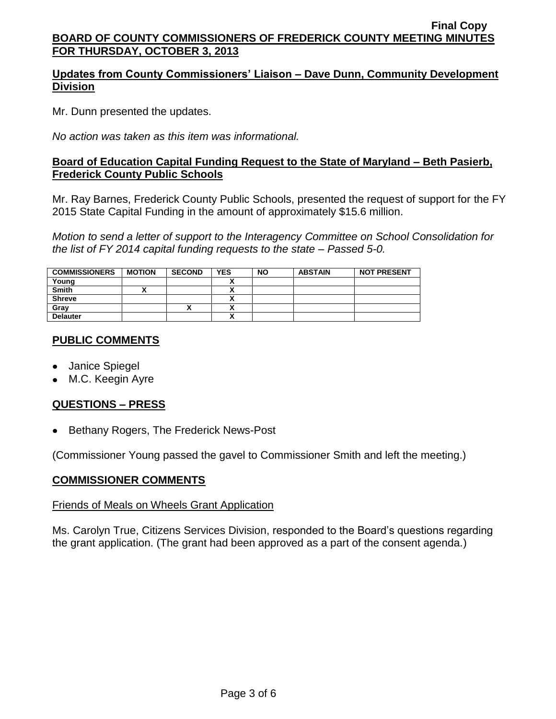# **Updates from County Commissioners' Liaison – Dave Dunn, Community Development Division**

Mr. Dunn presented the updates.

*No action was taken as this item was informational.*

### **Board of Education Capital Funding Request to the State of Maryland – Beth Pasierb, Frederick County Public Schools**

Mr. Ray Barnes, Frederick County Public Schools, presented the request of support for the FY 2015 State Capital Funding in the amount of approximately \$15.6 million.

*Motion to send a letter of support to the Interagency Committee on School Consolidation for the list of FY 2014 capital funding requests to the state – Passed 5-0.*

| <b>COMMISSIONERS</b> | <b>MOTION</b> | <b>SECOND</b> | <b>YES</b>           | <b>NO</b> | <b>ABSTAIN</b> | <b>NOT PRESENT</b> |
|----------------------|---------------|---------------|----------------------|-----------|----------------|--------------------|
| Young                |               |               |                      |           |                |                    |
| <b>Smith</b>         |               |               | `                    |           |                |                    |
| <b>Shreve</b>        |               |               | $\ddot{\phantom{1}}$ |           |                |                    |
| Gray                 |               | Λ             | ^                    |           |                |                    |
| <b>Delauter</b>      |               |               |                      |           |                |                    |

### **PUBLIC COMMENTS**

- Janice Spiegel
- M.C. Keegin Ayre

# **QUESTIONS – PRESS**

• Bethany Rogers, The Frederick News-Post

(Commissioner Young passed the gavel to Commissioner Smith and left the meeting.)

### **COMMISSIONER COMMENTS**

### Friends of Meals on Wheels Grant Application

Ms. Carolyn True, Citizens Services Division, responded to the Board's questions regarding the grant application. (The grant had been approved as a part of the consent agenda.)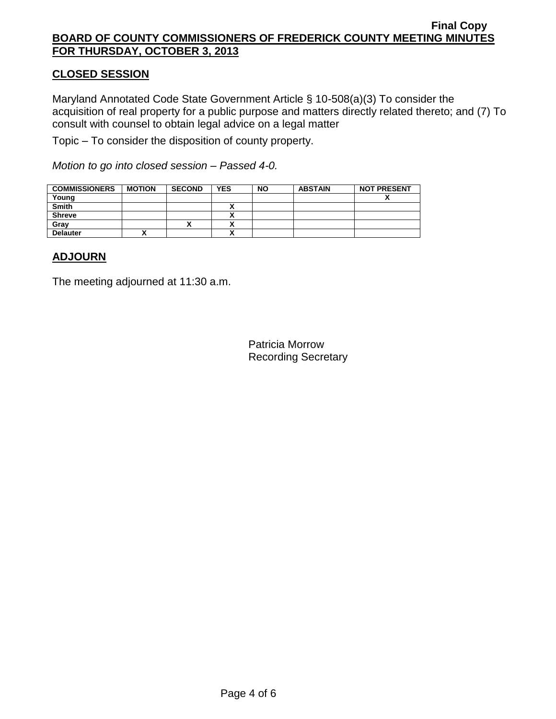### **CLOSED SESSION**

Maryland Annotated Code State Government Article § 10-508(a)(3) To consider the acquisition of real property for a public purpose and matters directly related thereto; and (7) To consult with counsel to obtain legal advice on a legal matter

Topic – To consider the disposition of county property.

*Motion to go into closed session – Passed 4-0.*

| <b>COMMISSIONERS</b> | <b>MOTION</b> | <b>SECOND</b> | <b>YES</b>               | <b>NO</b> | <b>ABSTAIN</b> | <b>NOT PRESENT</b> |
|----------------------|---------------|---------------|--------------------------|-----------|----------------|--------------------|
| Young                |               |               |                          |           |                | Λ                  |
| <b>Smith</b>         |               |               | ~                        |           |                |                    |
| <b>Shreve</b>        |               |               |                          |           |                |                    |
| Grav                 |               |               | $\ddot{\phantom{1}}$<br> |           |                |                    |
| <b>Delauter</b>      |               |               |                          |           |                |                    |

### **ADJOURN**

The meeting adjourned at 11:30 a.m.

Patricia Morrow Recording Secretary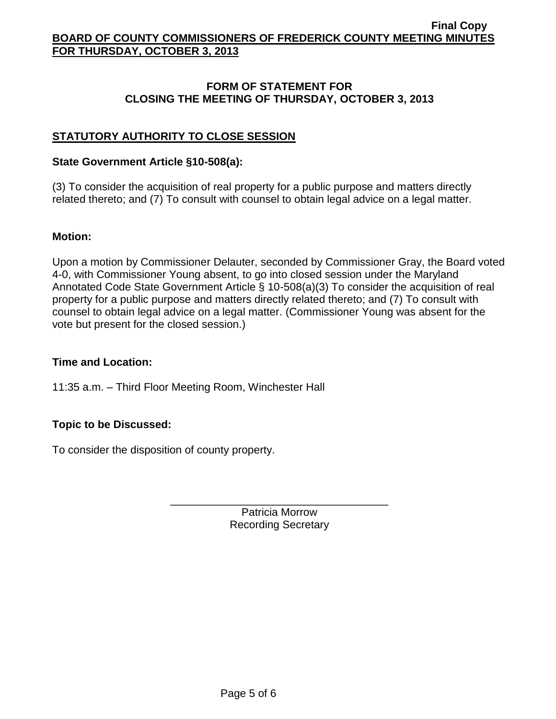#### **FORM OF STATEMENT FOR CLOSING THE MEETING OF THURSDAY, OCTOBER 3, 2013**

# **STATUTORY AUTHORITY TO CLOSE SESSION**

#### **State Government Article §10-508(a):**

(3) To consider the acquisition of real property for a public purpose and matters directly related thereto; and (7) To consult with counsel to obtain legal advice on a legal matter.

#### **Motion:**

Upon a motion by Commissioner Delauter, seconded by Commissioner Gray, the Board voted 4-0, with Commissioner Young absent, to go into closed session under the Maryland Annotated Code State Government Article § 10-508(a)(3) To consider the acquisition of real property for a public purpose and matters directly related thereto; and (7) To consult with counsel to obtain legal advice on a legal matter. (Commissioner Young was absent for the vote but present for the closed session.)

### **Time and Location:**

11:35 a.m. – Third Floor Meeting Room, Winchester Hall

### **Topic to be Discussed:**

To consider the disposition of county property.

Patricia Morrow Recording Secretary

\_\_\_\_\_\_\_\_\_\_\_\_\_\_\_\_\_\_\_\_\_\_\_\_\_\_\_\_\_\_\_\_\_\_\_\_